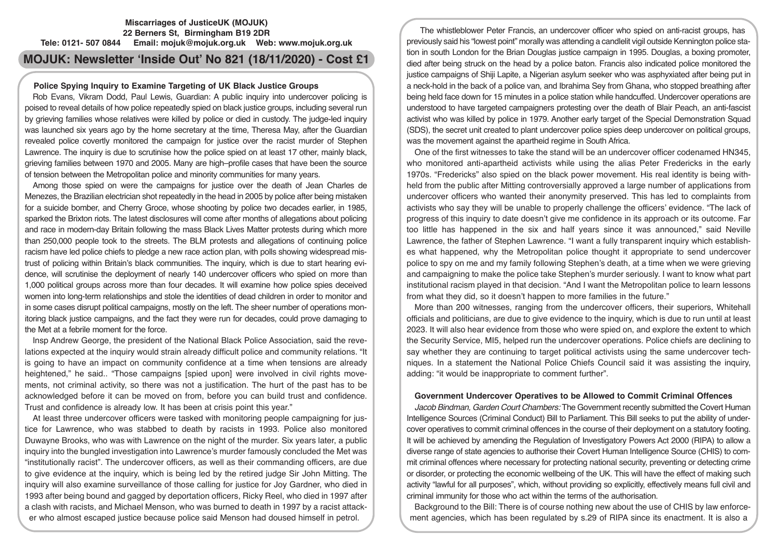# **Miscarriages of JusticeUK (MOJUK) 22 Berners St, Birmingham B19 2DR Tele: 0121- 507 0844 Email: mojuk@mojuk.org.uk Web: www.mojuk.org.uk**

# **MOJUK: Newsletter 'Inside Out' No 821 (18/11/2020) - Cost £1**

# **Police Spying Inquiry to Examine Targeting of UK Black Justice Groups**

Rob Evans, Vikram Dodd, Paul Lewis, Guardian: A public inquiry into undercover policing is poised to reveal details of how police repeatedly spied on black justice groups, including several run by grieving families whose relatives were killed by police or died in custody. The judge-led inquiry was launched six years ago by the home secretary at the time, Theresa May, after the Guardian revealed police covertly monitored the campaign for justice over the racist murder of Stephen Lawrence. The inquiry is due to scrutinise how the police spied on at least 17 other, mainly black, grieving families between 1970 and 2005. Many are high–profile cases that have been the source of tension between the Metropolitan police and minority communities for many years.

Among those spied on were the campaigns for justice over the death of Jean Charles de Menezes, the Brazilian electrician shot repeatedly in the head in 2005 by police after being mistaken for a suicide bomber, and Cherry Groce, whose shooting by police two decades earlier, in 1985, sparked the Brixton riots. The latest disclosures will come after months of allegations about policing and race in modern-day Britain following the mass Black Lives Matter protests during which more than 250,000 people took to the streets. The BLM protests and allegations of continuing police racism have led police chiefs to pledge a new race action plan, with polls showing widespread mistrust of policing within Britain's black communities. The inquiry, which is due to start hearing evidence, will scrutinise the deployment of nearly 140 undercover officers who spied on more than 1,000 political groups across more than four decades. It will examine how police spies deceived women into long-term relationships and stole the identities of dead children in order to monitor and in some cases disrupt political campaigns, mostly on the left. The sheer number of operations monitoring black justice campaigns, and the fact they were run for decades, could prove damaging to the Met at a febrile moment for the force.

Insp Andrew George, the president of the National Black Police Association, said the revelations expected at the inquiry would strain already difficult police and community relations. "It is going to have an impact on community confidence at a time when tensions are already heightened," he said.. "Those campaigns [spied upon] were involved in civil rights movements, not criminal activity, so there was not a justification. The hurt of the past has to be acknowledged before it can be moved on from, before you can build trust and confidence. Trust and confidence is already low. It has been at crisis point this year."

At least three undercover officers were tasked with monitoring people campaigning for justice for Lawrence, who was stabbed to death by racists in 1993. Police also monitored Duwayne Brooks, who was with Lawrence on the night of the murder. Six years later, a public inquiry into the bungled investigation into Lawrence's murder famously concluded the Met was "institutionally racist". The undercover officers, as well as their commanding officers, are due to give evidence at the inquiry, which is being led by the retired judge Sir John Mitting. The inquiry will also examine surveillance of those calling for justice for Joy Gardner, who died in 1993 after being bound and gagged by deportation officers, Ricky Reel, who died in 1997 after a clash with racists, and Michael Menson, who was burned to death in 1997 by a racist attacker who almost escaped justice because police said Menson had doused himself in petrol.

The whistleblower Peter Francis, an undercover officer who spied on anti-racist groups, has previously said his "lowest point" morally was attending a candlelit vigil outside Kennington police station in south London for the Brian Douglas justice campaign in 1995. Douglas, a boxing promoter, died after being struck on the head by a police baton. Francis also indicated police monitored the justice campaigns of Shiji Lapite, a Nigerian asylum seeker who was asphyxiated after being put in a neck-hold in the back of a police van, and Ibrahima Sey from Ghana, who stopped breathing after being held face down for 15 minutes in a police station while handcuffed. Undercover operations are understood to have targeted campaigners protesting over the death of Blair Peach, an anti-fascist activist who was killed by police in 1979. Another early target of the Special Demonstration Squad (SDS), the secret unit created to plant undercover police spies deep undercover on political groups, was the movement against the apartheid regime in South Africa.

One of the first witnesses to take the stand will be an undercover officer codenamed HN345, who monitored anti-apartheid activists while using the alias Peter Fredericks in the early 1970s. "Fredericks" also spied on the black power movement. His real identity is being withheld from the public after Mitting controversially approved a large number of applications from undercover officers who wanted their anonymity preserved. This has led to complaints from activists who say they will be unable to properly challenge the officers' evidence. "The lack of progress of this inquiry to date doesn't give me confidence in its approach or its outcome. Far too little has happened in the six and half years since it was announced," said Neville Lawrence, the father of Stephen Lawrence. "I want a fully transparent inquiry which establishes what happened, why the Metropolitan police thought it appropriate to send undercover police to spy on me and my family following Stephen's death, at a time when we were grieving and campaigning to make the police take Stephen's murder seriously. I want to know what part institutional racism played in that decision. "And I want the Metropolitan police to learn lessons from what they did, so it doesn't happen to more families in the future."

More than 200 witnesses, ranging from the undercover officers, their superiors, Whitehall officials and politicians, are due to give evidence to the inquiry, which is due to run until at least 2023. It will also hear evidence from those who were spied on, and explore the extent to which the Security Service, MI5, helped run the undercover operations. Police chiefs are declining to say whether they are continuing to target political activists using the same undercover techniques. In a statement the National Police Chiefs Council said it was assisting the inquiry, adding: "it would be inappropriate to comment further".

# **Government Undercover Operatives to be Allowed to Commit Criminal Offences**

*Jacob Bindman, Garden Court Chambers:* The Government recently submitted the Covert Human Intelligence Sources (Criminal Conduct) Bill to Parliament. This Bill seeks to put the ability of undercover operatives to commit criminal offences in the course of their deployment on a statutory footing. It will be achieved by amending the Regulation of Investigatory Powers Act 2000 (RIPA) to allow a diverse range of state agencies to authorise their Covert Human Intelligence Source (CHIS) to commit criminal offences where necessary for protecting national security, preventing or detecting crime or disorder, or protecting the economic wellbeing of the UK. This will have the effect of making such activity "lawful for all purposes", which, without providing so explicitly, effectively means full civil and criminal immunity for those who act within the terms of the authorisation.

Background to the Bill: There is of course nothing new about the use of CHIS by law enforcement agencies, which has been regulated by s.29 of RIPA since its enactment. It is also a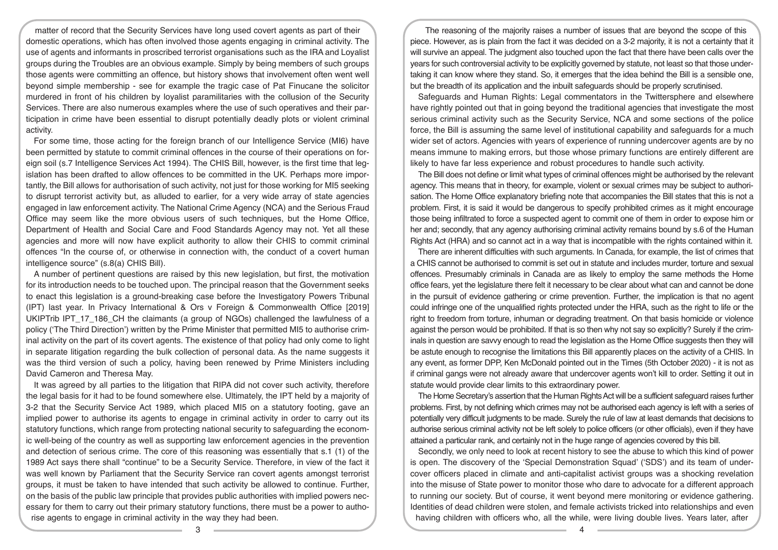matter of record that the Security Services have long used covert agents as part of their domestic operations, which has often involved those agents engaging in criminal activity. The use of agents and informants in proscribed terrorist organisations such as the IRA and Loyalist groups during the Troubles are an obvious example. Simply by being members of such groups those agents were committing an offence, but history shows that involvement often went well beyond simple membership - see for example the tragic case of Pat Finucane the solicitor murdered in front of his children by loyalist paramilitaries with the collusion of the Security Services. There are also numerous examples where the use of such operatives and their participation in crime have been essential to disrupt potentially deadly plots or violent criminal activity.

For some time, those acting for the foreign branch of our Intelligence Service (MI6) have been permitted by statute to commit criminal offences in the course of their operations on foreign soil (s.7 Intelligence Services Act 1994). The CHIS Bill, however, is the first time that legislation has been drafted to allow offences to be committed in the UK. Perhaps more importantly, the Bill allows for authorisation of such activity, not just for those working for MI5 seeking to disrupt terrorist activity but, as alluded to earlier, for a very wide array of state agencies engaged in law enforcement activity. The National Crime Agency (NCA) and the Serious Fraud Office may seem like the more obvious users of such techniques, but the Home Office, Department of Health and Social Care and Food Standards Agency may not. Yet all these agencies and more will now have explicit authority to allow their CHIS to commit criminal offences "In the course of, or otherwise in connection with, the conduct of a covert human intelligence source" (s.8(a) CHIS Bill).

A number of pertinent questions are raised by this new legislation, but first, the motivation for its introduction needs to be touched upon. The principal reason that the Government seeks to enact this legislation is a ground-breaking case before the Investigatory Powers Tribunal (IPT) last year. In Privacy International & Ors v Foreign & Commonwealth Office [2019] UKIPTrib IPT 17 186 CH the claimants (a group of NGOs) challenged the lawfulness of a policy ('The Third Direction') written by the Prime Minister that permitted MI5 to authorise criminal activity on the part of its covert agents. The existence of that policy had only come to light in separate litigation regarding the bulk collection of personal data. As the name suggests it was the third version of such a policy, having been renewed by Prime Ministers including David Cameron and Theresa May.

It was agreed by all parties to the litigation that RIPA did not cover such activity, therefore the legal basis for it had to be found somewhere else. Ultimately, the IPT held by a majority of 3-2 that the Security Service Act 1989, which placed MI5 on a statutory footing, gave an implied power to authorise its agents to engage in criminal activity in order to carry out its statutory functions, which range from protecting national security to safeguarding the economic well-being of the country as well as supporting law enforcement agencies in the prevention and detection of serious crime. The core of this reasoning was essentially that s.1 (1) of the 1989 Act says there shall "continue" to be a Security Service. Therefore, in view of the fact it was well known by Parliament that the Security Service ran covert agents amongst terrorist groups, it must be taken to have intended that such activity be allowed to continue. Further, on the basis of the public law principle that provides public authorities with implied powers necessary for them to carry out their primary statutory functions, there must be a power to authorise agents to engage in criminal activity in the way they had been.

The reasoning of the majority raises a number of issues that are beyond the scope of this piece. However, as is plain from the fact it was decided on a 3-2 majority, it is not a certainty that it will survive an appeal. The judgment also touched upon the fact that there have been calls over the years for such controversial activity to be explicitly governed by statute, not least so that those undertaking it can know where they stand. So, it emerges that the idea behind the Bill is a sensible one, but the breadth of its application and the inbuilt safeguards should be properly scrutinised.

Safeguards and Human Rights: Legal commentators in the Twittersphere and elsewhere have rightly pointed out that in going beyond the traditional agencies that investigate the most serious criminal activity such as the Security Service, NCA and some sections of the police force, the Bill is assuming the same level of institutional capability and safeguards for a much wider set of actors. Agencies with years of experience of running undercover agents are by no means immune to making errors, but those whose primary functions are entirely different are likely to have far less experience and robust procedures to handle such activity.

The Bill does not define or limit what types of criminal offences might be authorised by the relevant agency. This means that in theory, for example, violent or sexual crimes may be subject to authorisation. The Home Office explanatory briefing note that accompanies the Bill states that this is not a problem. First, it is said it would be dangerous to specify prohibited crimes as it might encourage those being infiltrated to force a suspected agent to commit one of them in order to expose him or her and; secondly, that any agency authorising criminal activity remains bound by s.6 of the Human Rights Act (HRA) and so cannot act in a way that is incompatible with the rights contained within it.

There are inherent difficulties with such arguments. In Canada, for example, the list of crimes that a CHIS cannot be authorised to commit is set out in statute and includes murder, torture and sexual offences. Presumably criminals in Canada are as likely to employ the same methods the Home office fears, yet the legislature there felt it necessary to be clear about what can and cannot be done in the pursuit of evidence gathering or crime prevention. Further, the implication is that no agent could infringe one of the unqualified rights protected under the HRA, such as the right to life or the right to freedom from torture, inhuman or degrading treatment. On that basis homicide or violence against the person would be prohibited. If that is so then why not say so explicitly? Surely if the criminals in question are savvy enough to read the legislation as the Home Office suggests then they will be astute enough to recognise the limitations this Bill apparently places on the activity of a CHIS. In any event, as former DPP, Ken McDonald pointed out in the Times (5th October 2020) - it is not as if criminal gangs were not already aware that undercover agents won't kill to order. Setting it out in statute would provide clear limits to this extraordinary power.

The Home Secretary's assertion that the Human Rights Act will be a sufficient safeguard raises further problems. First, by not defining which crimes may not be authorised each agency is left with a series of potentially very difficult judgments to be made. Surely the rule of law at least demands that decisions to authorise serious criminal activity not be left solely to police officers (or other officials), even if they have attained a particular rank, and certainly not in the huge range of agencies covered by this bill.

Secondly, we only need to look at recent history to see the abuse to which this kind of power is open. The discovery of the 'Special Demonstration Squad' ('SDS') and its team of undercover officers placed in climate and anti-capitalist activist groups was a shocking revelation into the misuse of State power to monitor those who dare to advocate for a different approach to running our society. But of course, it went beyond mere monitoring or evidence gathering. Identities of dead children were stolen, and female activists tricked into relationships and even having children with officers who, all the while, were living double lives. Years later, after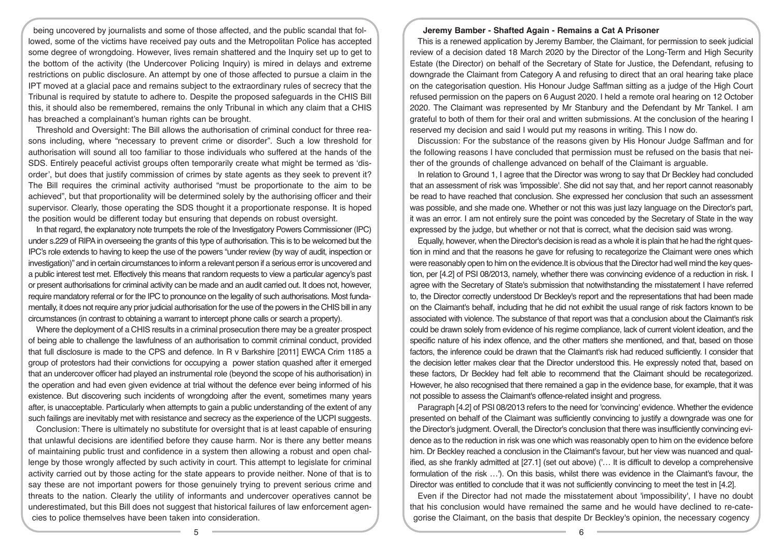being uncovered by journalists and some of those affected, and the public scandal that followed, some of the victims have received pay outs and the Metropolitan Police has accepted some degree of wrongdoing. However, lives remain shattered and the Inquiry set up to get to the bottom of the activity (the Undercover Policing Inquiry) is mired in delays and extreme restrictions on public disclosure. An attempt by one of those affected to pursue a claim in the IPT moved at a glacial pace and remains subject to the extraordinary rules of secrecy that the Tribunal is required by statute to adhere to. Despite the proposed safeguards in the CHIS Bill this, it should also be remembered, remains the only Tribunal in which any claim that a CHIS has breached a complainant's human rights can be brought.

Threshold and Oversight: The Bill allows the authorisation of criminal conduct for three reasons including, where "necessary to prevent crime or disorder". Such a low threshold for authorisation will sound all too familiar to those individuals who suffered at the hands of the SDS. Entirely peaceful activist groups often temporarily create what might be termed as 'disorder', but does that justify commission of crimes by state agents as they seek to prevent it? The Bill requires the criminal activity authorised "must be proportionate to the aim to be achieved", but that proportionality will be determined solely by the authorising officer and their supervisor. Clearly, those operating the SDS thought it a proportionate response. It is hoped the position would be different today but ensuring that depends on robust oversight.

In that regard, the explanatory note trumpets the role of the Investigatory Powers Commissioner (IPC) under s.229 of RIPA in overseeing the grants of this type of authorisation. This is to be welcomed but the IPC's role extends to having to keep the use of the powers "under review (by way of audit, inspection or investigation)" and in certain circumstances to inform a relevant person if a serious error is uncovered and a public interest test met. Effectively this means that random requests to view a particular agency's past or present authorisations for criminal activity can be made and an audit carried out. It does not, however, require mandatory referral or for the IPC to pronounce on the legality of such authorisations. Most fundamentally, it does not require any prior judicial authorisation for the use of the powers in the CHIS bill in any circumstances (in contrast to obtaining a warrant to intercept phone calls or search a property).

Where the deployment of a CHIS results in a criminal prosecution there may be a greater prospect of being able to challenge the lawfulness of an authorisation to commit criminal conduct, provided that full disclosure is made to the CPS and defence. In R v Barkshire [2011] EWCA Crim 1185 a group of protestors had their convictions for occupying a power station quashed after it emerged that an undercover officer had played an instrumental role (beyond the scope of his authorisation) in the operation and had even given evidence at trial without the defence ever being informed of his existence. But discovering such incidents of wrongdoing after the event, sometimes many years after, is unacceptable. Particularly when attempts to gain a public understanding of the extent of any such failings are inevitably met with resistance and secrecy as the experience of the UCPI suggests.

Conclusion: There is ultimately no substitute for oversight that is at least capable of ensuring that unlawful decisions are identified before they cause harm. Nor is there any better means of maintaining public trust and confidence in a system then allowing a robust and open challenge by those wrongly affected by such activity in court. This attempt to legislate for criminal activity carried out by those acting for the state appears to provide neither. None of that is to say these are not important powers for those genuinely trying to prevent serious crime and threats to the nation. Clearly the utility of informants and undercover operatives cannot be underestimated, but this Bill does not suggest that historical failures of law enforcement agencies to police themselves have been taken into consideration.

#### **Jeremy Bamber - Shafted Again - Remains a Cat A Prisoner**

This is a renewed application by Jeremy Bamber, the Claimant, for permission to seek judicial review of a decision dated 18 March 2020 by the Director of the Long-Term and High Security Estate (the Director) on behalf of the Secretary of State for Justice, the Defendant, refusing to downgrade the Claimant from Category A and refusing to direct that an oral hearing take place on the categorisation question. His Honour Judge Saffman sitting as a judge of the High Court refused permission on the papers on 6 August 2020. I held a remote oral hearing on 12 October 2020. The Claimant was represented by Mr Stanbury and the Defendant by Mr Tankel. I am grateful to both of them for their oral and written submissions. At the conclusion of the hearing I reserved my decision and said I would put my reasons in writing. This I now do.

Discussion: For the substance of the reasons given by His Honour Judge Saffman and for the following reasons I have concluded that permission must be refused on the basis that neither of the grounds of challenge advanced on behalf of the Claimant is arguable.

In relation to Ground 1, I agree that the Director was wrong to say that Dr Beckley had concluded that an assessment of risk was 'impossible'. She did not say that, and her report cannot reasonably be read to have reached that conclusion. She expressed her conclusion that such an assessment was possible, and she made one. Whether or not this was just lazy language on the Director's part, it was an error. I am not entirely sure the point was conceded by the Secretary of State in the way expressed by the judge, but whether or not that is correct, what the decision said was wrong.

Equally, however, when the Director's decision is read as a whole it is plain that he had the right question in mind and that the reasons he gave for refusing to recategorize the Claimant were ones which were reasonably open to him on the evidence.It is obvious that the Director had well mind the key question, per [4.2] of PSI 08/2013, namely, whether there was convincing evidence of a reduction in risk. I agree with the Secretary of State's submission that notwithstanding the misstatement I have referred to, the Director correctly understood Dr Beckley's report and the representations that had been made on the Claimant's behalf, including that he did not exhibit the usual range of risk factors known to be associated with violence. The substance of that report was that a conclusion about the Claimant's risk could be drawn solely from evidence of his regime compliance, lack of current violent ideation, and the specific nature of his index offence, and the other matters she mentioned, and that, based on those factors, the inference could be drawn that the Claimant's risk had reduced sufficiently. I consider that the decision letter makes clear that the Director understood this. He expressly noted that, based on these factors, Dr Beckley had felt able to recommend that the Claimant should be recategorized. However, he also recognised that there remained a gap in the evidence base, for example, that it was not possible to assess the Claimant's offence-related insight and progress.

Paragraph [4.2] of PSI 08/2013 refers to the need for 'convincing' evidence. Whether the evidence presented on behalf of the Claimant was sufficiently convincing to justify a downgrade was one for the Director's judgment. Overall, the Director's conclusion that there was insufficiently convincing evidence as to the reduction in risk was one which was reasonably open to him on the evidence before him. Dr Beckley reached a conclusion in the Claimant's favour, but her view was nuanced and qualified, as she frankly admitted at [27.1] (set out above) ('… It is difficult to develop a comprehensive formulation of the risk …'). On this basis, whilst there was evidence in the Claimant's favour, the Director was entitled to conclude that it was not sufficiently convincing to meet the test in [4.2].

Even if the Director had not made the misstatement about 'impossibility', I have no doubt that his conclusion would have remained the same and he would have declined to re-categorise the Claimant, on the basis that despite Dr Beckley's opinion, the necessary cogency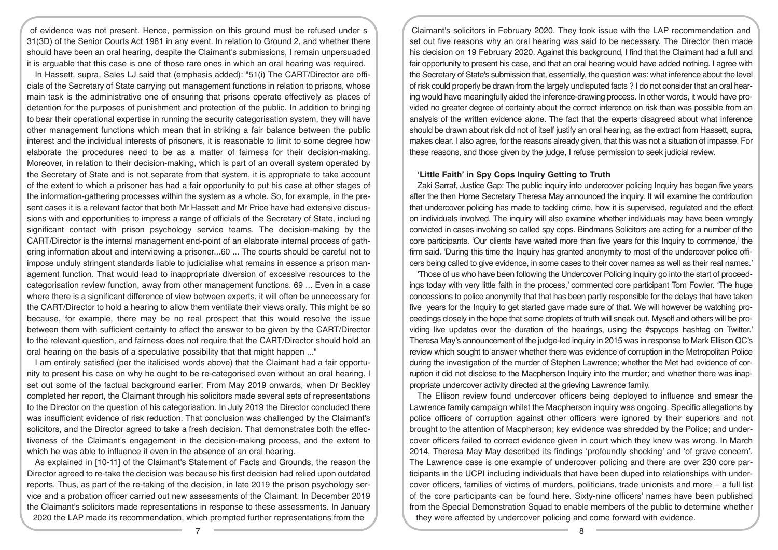of evidence was not present. Hence, permission on this ground must be refused under s 31(3D) of the Senior Courts Act 1981 in any event. In relation to Ground 2, and whether there should have been an oral hearing, despite the Claimant's submissions, I remain unpersuaded it is arguable that this case is one of those rare ones in which an oral hearing was required.

In Hassett, supra, Sales LJ said that (emphasis added): "51(i) The CART/Director are officials of the Secretary of State carrying out management functions in relation to prisons, whose main task is the administrative one of ensuring that prisons operate effectively as places of detention for the purposes of punishment and protection of the public. In addition to bringing to bear their operational expertise in running the security categorisation system, they will have other management functions which mean that in striking a fair balance between the public interest and the individual interests of prisoners, it is reasonable to limit to some degree how elaborate the procedures need to be as a matter of fairness for their decision-making. Moreover, in relation to their decision-making, which is part of an overall system operated by the Secretary of State and is not separate from that system, it is appropriate to take account of the extent to which a prisoner has had a fair opportunity to put his case at other stages of the information-gathering processes within the system as a whole. So, for example, in the present cases it is a relevant factor that both Mr Hassett and Mr Price have had extensive discussions with and opportunities to impress a range of officials of the Secretary of State, including significant contact with prison psychology service teams. The decision-making by the CART/Director is the internal management end-point of an elaborate internal process of gathering information about and interviewing a prisoner...60 ... The courts should be careful not to impose unduly stringent standards liable to judicialise what remains in essence a prison management function. That would lead to inappropriate diversion of excessive resources to the categorisation review function, away from other management functions. 69 ... Even in a case where there is a significant difference of view between experts, it will often be unnecessary for the CART/Director to hold a hearing to allow them ventilate their views orally. This might be so because, for example, there may be no real prospect that this would resolve the issue between them with sufficient certainty to affect the answer to be given by the CART/Director to the relevant question, and fairness does not require that the CART/Director should hold an oral hearing on the basis of a speculative possibility that that might happen ..."

I am entirely satisfied (per the italicised words above) that the Claimant had a fair opportunity to present his case on why he ought to be re-categorised even without an oral hearing. I set out some of the factual background earlier. From May 2019 onwards, when Dr Beckley completed her report, the Claimant through his solicitors made several sets of representations to the Director on the question of his categorisation. In July 2019 the Director concluded there was insufficient evidence of risk reduction. That conclusion was challenged by the Claimant's solicitors, and the Director agreed to take a fresh decision. That demonstrates both the effectiveness of the Claimant's engagement in the decision-making process, and the extent to which he was able to influence it even in the absence of an oral hearing.

As explained in [10-11] of the Claimant's Statement of Facts and Grounds, the reason the Director agreed to re-take the decision was because his first decision had relied upon outdated reports. Thus, as part of the re-taking of the decision, in late 2019 the prison psychology service and a probation officer carried out new assessments of the Claimant. In December 2019 the Claimant's solicitors made representations in response to these assessments. In January 2020 the LAP made its recommendation, which prompted further representations from the

Claimant's solicitors in February 2020. They took issue with the LAP recommendation and set out five reasons why an oral hearing was said to be necessary. The Director then made his decision on 19 February 2020. Against this background, I find that the Claimant had a full and fair opportunity to present his case, and that an oral hearing would have added nothing. I agree with the Secretary of State's submission that, essentially, the question was: what inference about the level of risk could properly be drawn from the largely undisputed facts ? I do not consider that an oral hearing would have meaningfully aided the inference-drawing process. In other words, it would have provided no greater degree of certainty about the correct inference on risk than was possible from an analysis of the written evidence alone. The fact that the experts disagreed about what inference should be drawn about risk did not of itself justify an oral hearing, as the extract from Hassett, supra, makes clear. I also agree, for the reasons already given, that this was not a situation of impasse. For these reasons, and those given by the judge, I refuse permission to seek judicial review.

# **'Little Faith' in Spy Cops Inquiry Getting to Truth**

Zaki Sarraf, Justice Gap: The public inquiry into undercover policing Inquiry has began five years after the then Home Secretary Theresa May announced the inquiry. It will examine the contribution that undercover policing has made to tackling crime, how it is supervised, regulated and the effect on individuals involved. The inquiry will also examine whether individuals may have been wrongly convicted in cases involving so called spy cops. Bindmans Solicitors are acting for a number of the core participants. 'Our clients have waited more than five years for this Inquiry to commence,' the firm said. 'During this time the Inquiry has granted anonymity to most of the undercover police officers being called to give evidence, in some cases to their cover names as well as their real names.'

'Those of us who have been following the Undercover Policing Inquiry go into the start of proceedings today with very little faith in the process,' commented core participant Tom Fowler. 'The huge concessions to police anonymity that that has been partly responsible for the delays that have taken five years for the Inquiry to get started gave made sure of that. We will however be watching proceedings closely in the hope that some droplets of truth will sneak out. Myself and others will be providing live updates over the duration of the hearings, using the #spycops hashtag on Twitter.' Theresa May's announcement of the judge-led inquiry in 2015 was in response to Mark Ellison QC's review which sought to answer whether there was evidence of corruption in the Metropolitan Police during the investigation of the murder of Stephen Lawrence; whether the Met had evidence of corruption it did not disclose to the Macpherson Inquiry into the murder; and whether there was inappropriate undercover activity directed at the grieving Lawrence family.

The Ellison review found undercover officers being deployed to influence and smear the Lawrence family campaign whilst the Macpherson inquiry was ongoing. Specific allegations by police officers of corruption against other officers were ignored by their superiors and not brought to the attention of Macpherson; key evidence was shredded by the Police; and undercover officers failed to correct evidence given in court which they knew was wrong. In March 2014, Theresa May May described its findings 'profoundly shocking' and 'of grave concern'. The Lawrence case is one example of undercover policing and there are over 230 core participants in the UCPI including individuals that have been duped into relationships with undercover officers, families of victims of murders, politicians, trade unionists and more – a full list of the core participants can be found here. Sixty-nine officers' names have been published from the Special Demonstration Squad to enable members of the public to determine whether they were affected by undercover policing and come forward with evidence.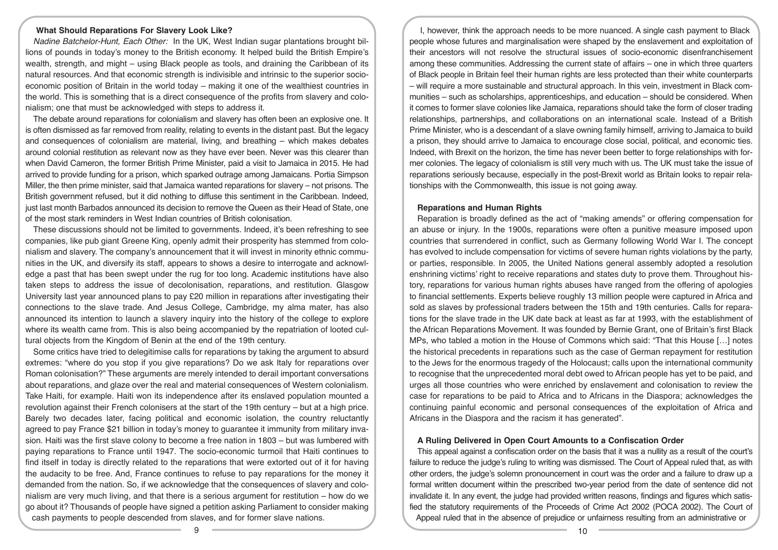#### **What Should Reparations For Slavery Look Like?**

*Nadine Batchelor-Hunt, Each Other:* In the UK, West Indian sugar plantations brought billions of pounds in today's money to the British economy. It helped build the British Empire's wealth, strength, and might – using Black people as tools, and draining the Caribbean of its natural resources. And that economic strength is indivisible and intrinsic to the superior socioeconomic position of Britain in the world today – making it one of the wealthiest countries in the world. This is something that is a direct consequence of the profits from slavery and colonialism; one that must be acknowledged with steps to address it.

The debate around reparations for colonialism and slavery has often been an explosive one. It is often dismissed as far removed from reality, relating to events in the distant past. But the legacy and consequences of colonialism are material, living, and breathing – which makes debates around colonial restitution as relevant now as they have ever been. Never was this clearer than when David Cameron, the former British Prime Minister, paid a visit to Jamaica in 2015. He had arrived to provide funding for a prison, which sparked outrage among Jamaicans. Portia Simpson Miller, the then prime minister, said that Jamaica wanted reparations for slavery – not prisons. The British government refused, but it did nothing to diffuse this sentiment in the Caribbean. Indeed, just last month Barbados announced its decision to remove the Queen as their Head of State, one of the most stark reminders in West Indian countries of British colonisation.

These discussions should not be limited to governments. Indeed, it's been refreshing to see companies, like pub giant Greene King, openly admit their prosperity has stemmed from colonialism and slavery. The company's announcement that it will invest in minority ethnic communities in the UK, and diversify its staff, appears to shows a desire to interrogate and acknowledge a past that has been swept under the rug for too long. Academic institutions have also taken steps to address the issue of decolonisation, reparations, and restitution. Glasgow University last year announced plans to pay £20 million in reparations after investigating their connections to the slave trade. And Jesus College, Cambridge, my alma mater, has also announced its intention to launch a slavery inquiry into the history of the college to explore where its wealth came from. This is also being accompanied by the repatriation of looted cultural objects from the Kingdom of Benin at the end of the 19th century.

Some critics have tried to delegitimise calls for reparations by taking the argument to absurd extremes: "where do you stop if you give reparations? Do we ask Italy for reparations over Roman colonisation?" These arguments are merely intended to derail important conversations about reparations, and glaze over the real and material consequences of Western colonialism. Take Haiti, for example. Haiti won its independence after its enslaved population mounted a revolution against their French colonisers at the start of the 19th century – but at a high price. Barely two decades later, facing political and economic isolation, the country reluctantly agreed to pay France \$21 billion in today's money to guarantee it immunity from military invasion. Haiti was the first slave colony to become a free nation in 1803 – but was lumbered with paying reparations to France until 1947. The socio-economic turmoil that Haiti continues to find itself in today is directly related to the reparations that were extorted out of it for having the audacity to be free. And, France continues to refuse to pay reparations for the money it demanded from the nation. So, if we acknowledge that the consequences of slavery and colonialism are very much living, and that there is a serious argument for restitution – how do we go about it? Thousands of people have signed a petition asking Parliament to consider making cash payments to people descended from slaves, and for former slave nations.

I, however, think the approach needs to be more nuanced. A single cash payment to Black people whose futures and marginalisation were shaped by the enslavement and exploitation of their ancestors will not resolve the structural issues of socio-economic disenfranchisement among these communities. Addressing the current state of affairs – one in which three quarters of Black people in Britain feel their human rights are less protected than their white counterparts – will require a more sustainable and structural approach. In this vein, investment in Black communities – such as scholarships, apprenticeships, and education – should be considered. When it comes to former slave colonies like Jamaica, reparations should take the form of closer trading relationships, partnerships, and collaborations on an international scale. Instead of a British Prime Minister, who is a descendant of a slave owning family himself, arriving to Jamaica to build a prison, they should arrive to Jamaica to encourage close social, political, and economic ties. Indeed, with Brexit on the horizon, the time has never been better to forge relationships with former colonies. The legacy of colonialism is still very much with us. The UK must take the issue of reparations seriously because, especially in the post-Brexit world as Britain looks to repair relationships with the Commonwealth, this issue is not going away.

#### **Reparations and Human Rights**

Reparation is broadly defined as the act of "making amends" or offering compensation for an abuse or injury. In the 1900s, reparations were often a punitive measure imposed upon countries that surrendered in conflict, such as Germany following World War I. The concept has evolved to include compensation for victims of severe human rights violations by the party, or parties, responsible. In 2005, the United Nations general assembly adopted a resolution enshrining victims' right to receive reparations and states duty to prove them. Throughout history, reparations for various human rights abuses have ranged from the offering of apologies to financial settlements. Experts believe roughly 13 million people were captured in Africa and sold as slaves by professional traders between the 15th and 19th centuries. Calls for reparations for the slave trade in the UK date back at least as far at 1993, with the establishment of the African Reparations Movement. It was founded by Bernie Grant, one of Britain's first Black MPs, who tabled a motion in the House of Commons which said: "That this House […] notes the historical precedents in reparations such as the case of German repayment for restitution to the Jews for the enormous tragedy of the Holocaust; calls upon the international community to recognise that the unprecedented moral debt owed to African people has yet to be paid, and urges all those countries who were enriched by enslavement and colonisation to review the case for reparations to be paid to Africa and to Africans in the Diaspora; acknowledges the continuing painful economic and personal consequences of the exploitation of Africa and Africans in the Diaspora and the racism it has generated".

#### **A Ruling Delivered in Open Court Amounts to a Confiscation Order**

This appeal against a confiscation order on the basis that it was a nullity as a result of the court's failure to reduce the judge's ruling to writing was dismissed. The Court of Appeal ruled that, as with other orders, the judge's solemn pronouncement in court was the order and a failure to draw up a formal written document within the prescribed two-year period from the date of sentence did not invalidate it. In any event, the judge had provided written reasons, findings and figures which satisfied the statutory requirements of the Proceeds of Crime Act 2002 (POCA 2002). The Court of Appeal ruled that in the absence of prejudice or unfairness resulting from an administrative or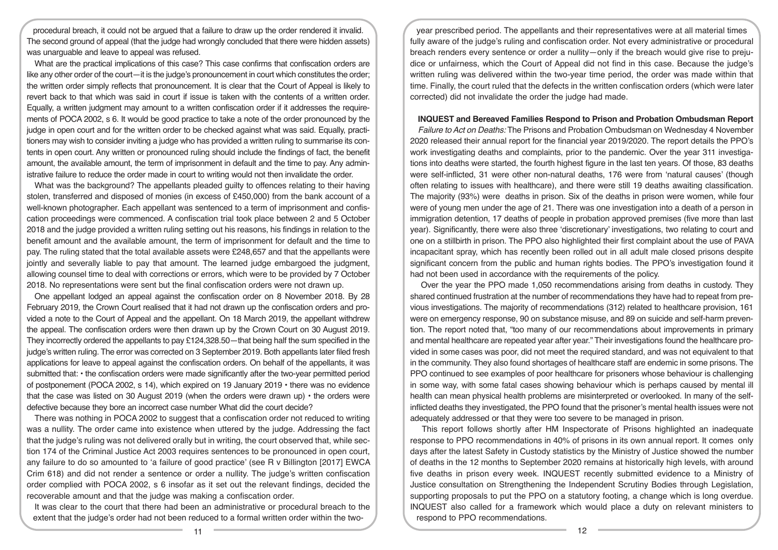procedural breach, it could not be argued that a failure to draw up the order rendered it invalid. The second ground of appeal (that the judge had wrongly concluded that there were hidden assets) was unarguable and leave to appeal was refused.

What are the practical implications of this case? This case confirms that confiscation orders are like any other order of the court—it is the judge's pronouncement in court which constitutes the order; the written order simply reflects that pronouncement. It is clear that the Court of Appeal is likely to revert back to that which was said in court if issue is taken with the contents of a written order. Equally, a written judgment may amount to a written confiscation order if it addresses the requirements of POCA 2002, s 6. It would be good practice to take a note of the order pronounced by the judge in open court and for the written order to be checked against what was said. Equally, practitioners may wish to consider inviting a judge who has provided a written ruling to summarise its contents in open court. Any written or pronounced ruling should include the findings of fact, the benefit amount, the available amount, the term of imprisonment in default and the time to pay. Any administrative failure to reduce the order made in court to writing would not then invalidate the order.

What was the background? The appellants pleaded guilty to offences relating to their having stolen, transferred and disposed of monies (in excess of £450,000) from the bank account of a well-known photographer. Each appellant was sentenced to a term of imprisonment and confiscation proceedings were commenced. A confiscation trial took place between 2 and 5 October 2018 and the judge provided a written ruling setting out his reasons, his findings in relation to the benefit amount and the available amount, the term of imprisonment for default and the time to pay. The ruling stated that the total available assets were £248,657 and that the appellants were jointly and severally liable to pay that amount. The learned judge embargoed the judgment, allowing counsel time to deal with corrections or errors, which were to be provided by 7 October 2018. No representations were sent but the final confiscation orders were not drawn up.

One appellant lodged an appeal against the confiscation order on 8 November 2018. By 28 February 2019, the Crown Court realised that it had not drawn up the confiscation orders and provided a note to the Court of Appeal and the appellant. On 18 March 2019, the appellant withdrew the appeal. The confiscation orders were then drawn up by the Crown Court on 30 August 2019. They incorrectly ordered the appellants to pay £124,328.50—that being half the sum specified in the judge's written ruling. The error was corrected on 3 September 2019. Both appellants later filed fresh applications for leave to appeal against the confiscation orders. On behalf of the appellants, it was submitted that: • the confiscation orders were made significantly after the two-year permitted period of postponement (POCA 2002, s 14), which expired on 19 January 2019 • there was no evidence that the case was listed on 30 August 2019 (when the orders were drawn up) • the orders were defective because they bore an incorrect case number What did the court decide?

There was nothing in POCA 2002 to suggest that a confiscation order not reduced to writing was a nullity. The order came into existence when uttered by the judge. Addressing the fact that the judge's ruling was not delivered orally but in writing, the court observed that, while section 174 of the Criminal Justice Act 2003 requires sentences to be pronounced in open court, any failure to do so amounted to 'a failure of good practice' (see R v Billington [2017] EWCA Crim 618) and did not render a sentence or order a nullity. The judge's written confiscation order complied with POCA 2002, s 6 insofar as it set out the relevant findings, decided the recoverable amount and that the judge was making a confiscation order.

It was clear to the court that there had been an administrative or procedural breach to the extent that the judge's order had not been reduced to a formal written order within the two-

year prescribed period. The appellants and their representatives were at all material times fully aware of the judge's ruling and confiscation order. Not every administrative or procedural breach renders every sentence or order a nullity—only if the breach would give rise to prejudice or unfairness, which the Court of Appeal did not find in this case. Because the judge's written ruling was delivered within the two-year time period, the order was made within that time. Finally, the court ruled that the defects in the written confiscation orders (which were later corrected) did not invalidate the order the judge had made.

### **INQUEST and Bereaved Families Respond to Prison and Probation Ombudsman Report**

*Failure to Act on Deaths:* The Prisons and Probation Ombudsman on Wednesday 4 November 2020 released their annual report for the financial year 2019/2020. The report details the PPO's work investigating deaths and complaints, prior to the pandemic. Over the year 311 investigations into deaths were started, the fourth highest figure in the last ten years. Of those, 83 deaths were self-inflicted, 31 were other non-natural deaths, 176 were from 'natural causes' (though often relating to issues with healthcare), and there were still 19 deaths awaiting classification. The majority (93%) were deaths in prison. Six of the deaths in prison were women, while four were of young men under the age of 21. There was one investigation into a death of a person in immigration detention, 17 deaths of people in probation approved premises (five more than last year). Significantly, there were also three 'discretionary' investigations, two relating to court and one on a stillbirth in prison. The PPO also highlighted their first complaint about the use of PAVA incapacitant spray, which has recently been rolled out in all adult male closed prisons despite significant concern from the public and human rights bodies. The PPO's investigation found it had not been used in accordance with the requirements of the policy.

 Over the year the PPO made 1,050 recommendations arising from deaths in custody. They shared continued frustration at the number of recommendations they have had to repeat from previous investigations. The majority of recommendations (312) related to healthcare provision, 161 were on emergency response, 90 on substance misuse, and 89 on suicide and self-harm prevention. The report noted that, "too many of our recommendations about improvements in primary and mental healthcare are repeated year after year." Their investigations found the healthcare provided in some cases was poor, did not meet the required standard, and was not equivalent to that in the community. They also found shortages of healthcare staff are endemic in some prisons. The PPO continued to see examples of poor healthcare for prisoners whose behaviour is challenging in some way, with some fatal cases showing behaviour which is perhaps caused by mental ill health can mean physical health problems are misinterpreted or overlooked. In many of the selfinflicted deaths they investigated, the PPO found that the prisoner's mental health issues were not adequately addressed or that they were too severe to be managed in prison.

 This report follows shortly after HM Inspectorate of Prisons highlighted an inadequate response to PPO recommendations in 40% of prisons in its own annual report. It comes only days after the latest Safety in Custody statistics by the Ministry of Justice showed the number of deaths in the 12 months to September 2020 remains at historically high levels, with around five deaths in prison every week. INQUEST recently submitted evidence to a Ministry of Justice consultation on Strengthening the Independent Scrutiny Bodies through Legislation, supporting proposals to put the PPO on a statutory footing, a change which is long overdue. INQUEST also called for a framework which would place a duty on relevant ministers to respond to PPO recommendations.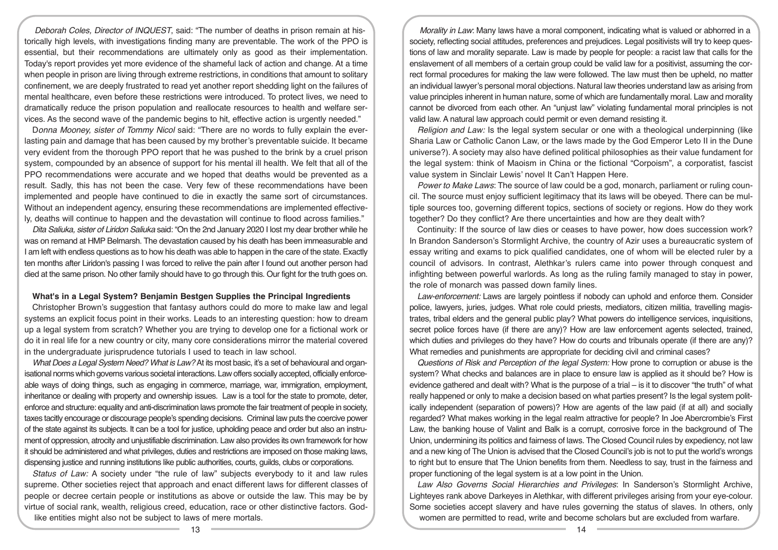*Deborah Coles, Director of INQUEST*, said: "The number of deaths in prison remain at historically high levels, with investigations finding many are preventable. The work of the PPO is essential, but their recommendations are ultimately only as good as their implementation. Today's report provides yet more evidence of the shameful lack of action and change. At a time when people in prison are living through extreme restrictions, in conditions that amount to solitary confinement, we are deeply frustrated to read yet another report shedding light on the failures of mental healthcare, even before these restrictions were introduced. To protect lives, we need to dramatically reduce the prison population and reallocate resources to health and welfare services. As the second wave of the pandemic begins to hit, effective action is urgently needed."

D*onna Mooney, sister of Tommy Nicol* said: "There are no words to fully explain the everlasting pain and damage that has been caused by my brother's preventable suicide. It became very evident from the thorough PPO report that he was pushed to the brink by a cruel prison system, compounded by an absence of support for his mental ill health. We felt that all of the PPO recommendations were accurate and we hoped that deaths would be prevented as a result. Sadly, this has not been the case. Very few of these recommendations have been implemented and people have continued to die in exactly the same sort of circumstances. Without an independent agency, ensuring these recommendations are implemented effectively, deaths will continue to happen and the devastation will continue to flood across families."

*Dita Saliuka, sister of Liridon Saliuka* said: "On the 2nd January 2020 I lost my dear brother while he was on remand at HMP Belmarsh. The devastation caused by his death has been immeasurable and I am left with endless questions as to how his death was able to happen in the care of the state. Exactly ten months after Liridon's passing I was forced to relive the pain after I found out another person had died at the same prison. No other family should have to go through this. Our fight for the truth goes on.

### **What's in a Legal System? Benjamin Bestgen Supplies the Principal Ingredients**

Christopher Brown's suggestion that fantasy authors could do more to make law and legal systems an explicit focus point in their works. Leads to an interesting question: how to dream up a legal system from scratch? Whether you are trying to develop one for a fictional work or do it in real life for a new country or city, many core considerations mirror the material covered in the undergraduate jurisprudence tutorials I used to teach in law school.

*What Does a Legal System Need? What is Law?* At its most basic, it's a set of behavioural and organisational norms which governs various societal interactions. Law offers socially accepted, officially enforceable ways of doing things, such as engaging in commerce, marriage, war, immigration, employment, inheritance or dealing with property and ownership issues. Law is a tool for the state to promote, deter, enforce and structure: equality and anti-discrimination laws promote the fair treatment of people in society, taxes tacitly encourage or discourage people's spending decisions. Criminal law puts the coercive power of the state against its subjects. It can be a tool for justice, upholding peace and order but also an instrument of oppression, atrocity and unjustifiable discrimination. Law also provides its own framework for how it should be administered and what privileges, duties and restrictions are imposed on those making laws, dispensing justice and running institutions like public authorities, courts, guilds, clubs or corporations.

*Status of Law:* A society under "the rule of law" subjects everybody to it and law rules supreme. Other societies reject that approach and enact different laws for different classes of people or decree certain people or institutions as above or outside the law. This may be by virtue of social rank, wealth, religious creed, education, race or other distinctive factors. Godlike entities might also not be subject to laws of mere mortals.

*Morality in Law*: Many laws have a moral component, indicating what is valued or abhorred in a society, reflecting social attitudes, preferences and prejudices. Legal positivists will try to keep questions of law and morality separate. Law is made by people for people: a racist law that calls for the enslavement of all members of a certain group could be valid law for a positivist, assuming the correct formal procedures for making the law were followed. The law must then be upheld, no matter an individual lawyer's personal moral objections. Natural law theories understand law as arising from value principles inherent in human nature, some of which are fundamentally moral. Law and morality cannot be divorced from each other. An "unjust law" violating fundamental moral principles is not valid law. A natural law approach could permit or even demand resisting it.

*Religion and Law:* Is the legal system secular or one with a theological underpinning (like Sharia Law or Catholic Canon Law, or the laws made by the God Emperor Leto II in the Dune universe?). A society may also have defined political philosophies as their value fundament for the legal system: think of Maoism in China or the fictional "Corpoism", a corporatist, fascist value system in Sinclair Lewis' novel It Can't Happen Here.

*Power to Make Laws*: The source of law could be a god, monarch, parliament or ruling council. The source must enjoy sufficient legitimacy that its laws will be obeyed. There can be multiple sources too, governing different topics, sections of society or regions. How do they work together? Do they conflict? Are there uncertainties and how are they dealt with?

Continuity: If the source of law dies or ceases to have power, how does succession work? In Brandon Sanderson's Stormlight Archive, the country of Azir uses a bureaucratic system of essay writing and exams to pick qualified candidates, one of whom will be elected ruler by a council of advisors. In contrast, Alethkar's rulers came into power through conquest and infighting between powerful warlords. As long as the ruling family managed to stay in power, the role of monarch was passed down family lines.

*Law-enforcement:* Laws are largely pointless if nobody can uphold and enforce them. Consider police, lawyers, juries, judges. What role could priests, mediators, citizen militia, travelling magistrates, tribal elders and the general public play? What powers do intelligence services, inquisitions, secret police forces have (if there are any)? How are law enforcement agents selected, trained, which duties and privileges do they have? How do courts and tribunals operate (if there are any)? What remedies and punishments are appropriate for deciding civil and criminal cases?

*Questions of Risk and Perception of the legal System:* How prone to corruption or abuse is the system? What checks and balances are in place to ensure law is applied as it should be? How is evidence gathered and dealt with? What is the purpose of a trial – is it to discover "the truth" of what really happened or only to make a decision based on what parties present? Is the legal system politically independent (separation of powers)? How are agents of the law paid (if at all) and socially regarded? What makes working in the legal realm attractive for people? In Joe Abercrombie's First Law, the banking house of Valint and Balk is a corrupt, corrosive force in the background of The Union, undermining its politics and fairness of laws. The Closed Council rules by expediency, not law and a new king of The Union is advised that the Closed Council's job is not to put the world's wrongs to right but to ensure that The Union benefits from them. Needless to say, trust in the fairness and proper functioning of the legal system is at a low point in the Union.

*Law Also Governs Social Hierarchies and Privileges*: In Sanderson's Stormlight Archive, Lighteyes rank above Darkeyes in Alethkar, with different privileges arising from your eye-colour. Some societies accept slavery and have rules governing the status of slaves. In others, only women are permitted to read, write and become scholars but are excluded from warfare.